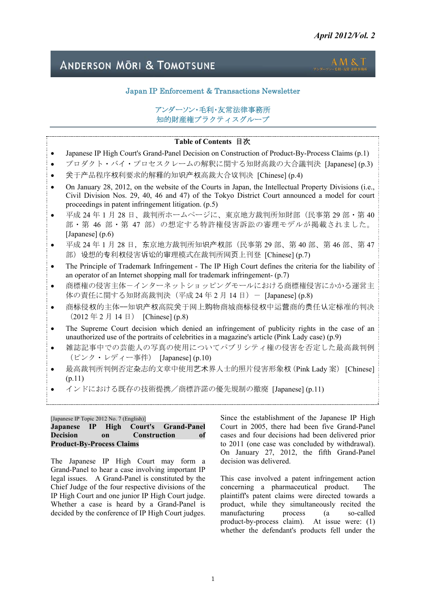# **ANDERSON MORI & TOMOTSUNE**



I

# Japan IP Enforcement & Transactions Newsletter

# アンダーソン・毛利・友常法律事務所 知的財産権プラクティスグループ

# **Table of Contents** 目次

- Japanese IP High Court's Grand-Panel Decision on Construction of Product-By-Process Claims (p.1)
- プロダクト・バイ・プロセスクレームの解釈に関する知財高裁の大合議判決 [Japanese] (p.3)
- 关于产品程序权利要求的解释的知识产权高裁大合议判决 [Chinese] (p.4)
- On January 28, 2012, on the website of the Courts in Japan, the Intellectual Property Divisions (i.e., Civil Division Nos. 29, 40, 46 and 47) of the Tokyo District Court announced a model for court proceedings in patent infringement litigation. (p.5)
- 平成 24年1月28日、裁判所ホームページに、東京地方裁判所知財部(民事第 29部・第 40 部・第 46 部・第 47 部)の想定する特許権侵害訴訟の審理モデルが掲載されました。 [Japanese] (p.6)
- 平成 24 年 1 月 28 日, 东京地方裁判所知识产权部 (民事第 29 部、第 40 部、第 46 部、第 47 部)设想的专利权侵害诉讼的审理模式在裁判所网页上刊登 [Chinese] (p.7)
- The Principle of Trademark Infringement The IP High Court defines the criteria for the liability of an operator of an Internet shopping mall for trademark infringement- (p.7)
- 商標権の侵害主体-インターネットショッピングモールにおける商標権侵害にかかる運営主 体の責任に関する知財高裁判決 (平成 24年2月14日) - [Japanese] (p.8)
- 商标侵权的主体——知识产权高院关于网上购物商城商标侵权中运营商的责任认定标准的判决  $(2012 \n 42 \n 714 \n 14 \n 7)$  [Chinese] (p.8)
- The Supreme Court decision which denied an infringement of publicity rights in the case of an unauthorized use of the portraits of celebrities in a magazine's article (Pink Lady case) (p.9)
- 雑誌記事中での芸能人の写真の使用についてパブリシティ権の侵害を否定した最高裁判例 (ピンク・レディー事件) [Japanese] (p.10)
- 最高裁判所判例否定杂志的文章中使用艺术界人士的照片侵害形象权(Pink Lady 案) [Chinese] (p.11)
- インドにおける既存の技術提携/商標許諾の優先規制の撤廃 [Japanese] (p.11)

[Japanese IP Topic 2012 No. 7 (English)]

### **Japanese IP High Court's Grand-Panel Decision on Construction of Product-By-Process Claims**

The Japanese IP High Court may form a Grand-Panel to hear a case involving important IP legal issues. A Grand-Panel is constituted by the Chief Judge of the four respective divisions of the IP High Court and one junior IP High Court judge. Whether a case is heard by a Grand-Panel is decided by the conference of IP High Court judges.

Since the establishment of the Japanese IP High Court in 2005, there had been five Grand-Panel cases and four decisions had been delivered prior to 2011 (one case was concluded by withdrawal). On January 27, 2012, the fifth Grand-Panel decision was delivered.

This case involved a patent infringement action concerning a pharmaceutical product. The plaintiff's patent claims were directed towards a product, while they simultaneously recited the manufacturing process (a so-called product-by-process claim). At issue were: (1) whether the defendant's products fell under the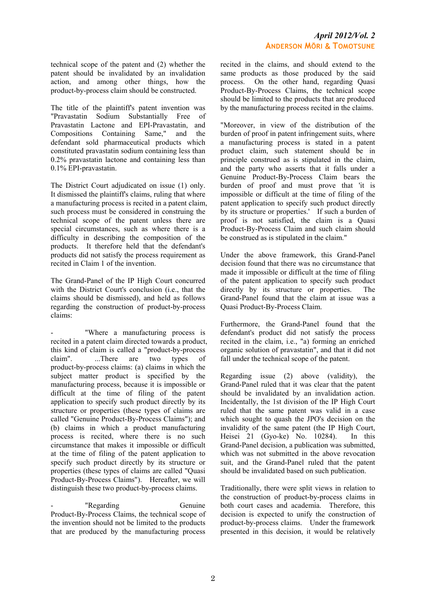technical scope of the patent and (2) whether the patent should be invalidated by an invalidation action, and among other things, how the product-by-process claim should be constructed.

The title of the plaintiff's patent invention was "Pravastatin Sodium Substantially Free of Pravastatin Lactone and EPI-Pravastatin, and Compositions Containing Same," and the defendant sold pharmaceutical products which constituted pravastatin sodium containing less than 0.2% pravastatin lactone and containing less than 0.1% EPI-pravastatin.

The District Court adjudicated on issue (1) only. It dismissed the plaintiff's claims, ruling that where a manufacturing process is recited in a patent claim, such process must be considered in construing the technical scope of the patent unless there are special circumstances, such as where there is a difficulty in describing the composition of the products. It therefore held that the defendant's products did not satisfy the process requirement as recited in Claim 1 of the invention.

The Grand-Panel of the IP High Court concurred with the District Court's conclusion (i.e., that the claims should be dismissed), and held as follows regarding the construction of product-by-process claims:

"Where a manufacturing process is recited in a patent claim directed towards a product, this kind of claim is called a "product-by-process claim". ...There are two types of product-by-process claims: (a) claims in which the subject matter product is specified by the manufacturing process, because it is impossible or difficult at the time of filing of the patent application to specify such product directly by its structure or properties (these types of claims are called "Genuine Product-By-Process Claims"); and (b) claims in which a product manufacturing process is recited, where there is no such circumstance that makes it impossible or difficult at the time of filing of the patent application to specify such product directly by its structure or properties (these types of claims are called "Quasi Product-By-Process Claims"). Hereafter, we will distinguish these two product-by-process claims.

"Regarding Genuine Product-By-Process Claims, the technical scope of the invention should not be limited to the products that are produced by the manufacturing process recited in the claims, and should extend to the same products as those produced by the said process. On the other hand, regarding Quasi Product-By-Process Claims, the technical scope should be limited to the products that are produced by the manufacturing process recited in the claims.

"Moreover, in view of the distribution of the burden of proof in patent infringement suits, where a manufacturing process is stated in a patent product claim, such statement should be in principle construed as is stipulated in the claim, and the party who asserts that it falls under a Genuine Product-By-Process Claim bears the burden of proof and must prove that 'it is impossible or difficult at the time of filing of the patent application to specify such product directly by its structure or properties.' If such a burden of proof is not satisfied, the claim is a Quasi Product-By-Process Claim and such claim should be construed as is stipulated in the claim."

Under the above framework, this Grand-Panel decision found that there was no circumstance that made it impossible or difficult at the time of filing of the patent application to specify such product directly by its structure or properties. The Grand-Panel found that the claim at issue was a Quasi Product-By-Process Claim.

Furthermore, the Grand-Panel found that the defendant's product did not satisfy the process recited in the claim, i.e., "a) forming an enriched organic solution of pravastatin", and that it did not fall under the technical scope of the patent.

Regarding issue (2) above (validity), the Grand-Panel ruled that it was clear that the patent should be invalidated by an invalidation action. Incidentally, the 1st division of the IP High Court ruled that the same patent was valid in a case which sought to quash the JPO's decision on the invalidity of the same patent (the IP High Court, Heisei 21 (Gyo-ke) No. 10284). In this Grand-Panel decision, a publication was submitted, which was not submitted in the above revocation suit, and the Grand-Panel ruled that the patent should be invalidated based on such publication.

Traditionally, there were split views in relation to the construction of product-by-process claims in both court cases and academia. Therefore, this decision is expected to unify the construction of product-by-process claims. Under the framework presented in this decision, it would be relatively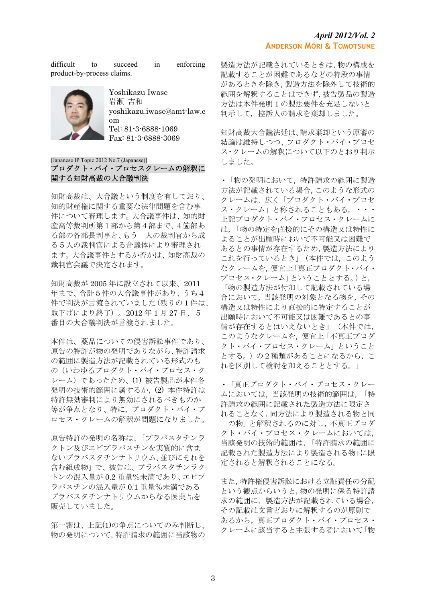difficult to succeed in enforcing product-by-process claims.



Yoshikazu Iwase 岩瀬 吉和 yoshikazu.iwase@amt-law.c om Tel: 81-3-6888-1069 Fax: 81-3-6888-3069

### [Japanese IP Topic 2012 No.7 (Japanese)] プロダクト・バイ・プロセスクレームの解釈に 関する知財高裁の大合議判決

知財高裁は、大合議という制度を有しており、 知的財産権に関する重要な法律問題を含む事 件について審理します。大合議事件は、知的財 産高等裁判所第1部から第4部まで、4箇部あ る部の各部長判事と、もう一人の裁判官から成 る5人の裁判官による合議体により審理され ます。大合議事件とするか否かは、知財高裁の 裁判官会議で決定されます。

知財高裁が 2005 年に設立されて以来、2011 年まで、合計5件の大合議事件があり、うち4 件で判決が言渡されていました(残りの1件は、 取下げにより終了)。2012 年 1 月 27 日、5 番目の大合議判決が言渡されました。

本件は、薬品についての侵害訴訟事件であり、 原告の特許が物の発明でありながら、特許請求 の範囲に製造方法が記載されている形式のも の(いわゆるプロダクト・バイ・プロセス・ク レーム)であったため、(1) 被告製品が本件各 発明の技術的範囲に属するか,(2) 本件特許は 特許無効審判により無効にされるべきものか 等が争点となり、特に,プロダクト・バイ・プ ロセス・クレームの解釈が問題になりました。

原告特許の発明の名称は、「プラバスタチンラ クトン及びエピプラバスチンを実質的に含ま ないプラバスタチンナトリウム、並びにそれを 含む組成物」で、被告は、プラバスタチンラク トンの混入量が 0.2 重量%未満であり、エピプ ラバスチンの混入量が 0.1 重量%未満である プラバスタチンナトリウムからなる医薬品を 販売していました。

第一審は、上記(1)の争点についてのみ判断し、 物の発明について,特許請求の範囲に当該物の 製造方法が記載されているときは,物の構成を 記載することが困難であるなどの特段の事情 があるときを除き,製造方法を除外して技術的 範囲を解釈することはできず,被告製品の製造 方法は本件発明1の製法要件を充足しないと 判示して,控訴人の請求を棄却しました。

知財高裁大合議法廷は、請求棄却という原審の 結論は維持しつつ、プロダクト・バイ・プロセ ス・クレームの解釈について以下のとおり判示 しました。

・「物の発明において,特許請求の範囲に製造 方法が記載されている場合,このような形式の クレームは,広く「プロダクト・バイ・プロセ ス・クレーム」と称されることもある。・・・ 上記プロダクト・バイ・プロセス・クレームに は,「物の特定を直接的にその構造又は特性に よることが出願時において不可能又は困難で あるとの事情が存在するため,製造方法により これを行っているとき」(本件では,このよう なクレームを,便宜上「真正プロダクト・バイ・ プロセス・クレーム」ということとする。)と, 「物の製造方法が付加して記載されている場 合において,当該発明の対象となる物を,その 構造又は特性により直接的に特定することが 出願時において不可能又は困難であるとの事 情が存在するとはいえないとき」(本件では, このようなクレームを,便宜上「不真正プロダ クト・バイ・プロセス・クレーム」ということ とする。)の2種類があることになるから,こ れを区別して検討を加えることとする。」

・「真正プロダクト・バイ・プロセス・クレー ムにおいては,当該発明の技術的範囲は,「特 許請求の範囲に記載された製造方法に限定さ れることなく,同方法により製造される物と同 一の物」と解釈されるのに対し,不真正プロダ クト・バイ・プロセス・クレームにおいては, 当該発明の技術的範囲は,「特許請求の範囲に 記載された製造方法により製造される物」に限 定されると解釈されることになる。

また,特許権侵害訴訟における立証責任の分配 という観点からいうと,物の発明に係る特許請 求の範囲に,製造方法が記載されている場合, その記載は文言どおりに解釈するのが原則で あるから,真正プロダクト・バイ・プロセス・ クレームに該当すると主張する者において「物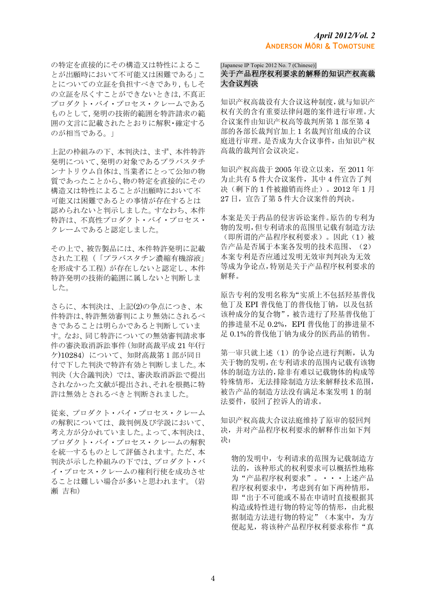の特定を直接的にその構造又は特性によるこ とが出願時において不可能又は困難である」こ とについての立証を負担すべきであり,もしそ の立証を尽くすことができないときは,不真正 プロダクト・バイ・プロセス・クレームである ものとして,発明の技術的範囲を特許請求の範 囲の文言に記載されたとおりに解釈・確定する のが相当である。」

上記の枠組みの下、本判決は、まず、本件特許 発明について、発明の対象であるプラバスタチ ンナトリウム自体は、当業者にとって公知の物 質であったことから、物の特定を直接的にその 構造又は特性によることが出願時において不 可能又は困難であるとの事情が存在するとは 認められないと判示しました。すなわち、本件 特許は、不真性プロダクト・バイ・プロセス・ クレームであると認定しました。

その上で、被告製品には、本件特許発明に記載 された工程(「プラバスタチン濃縮有機溶液」 を形成する工程)が存在しないと認定し、本件 特許発明の技術的範囲に属しないと判断しま した。

さらに、本判決は、上記(2)の争点につき、本 件特許は、特許無効審判により無効にされるべ きであることは明らかであると判断していま す。なお、同じ特許についての無効審判請求事 件の審決取消訴訟事件(知財高裁平成 21 年(行 ケ)10284)について、知財高裁第1部が同日 付で下した判決で特許有効と判断しました。本 判決(大合議判決)では、審決取消訴訟で提出 されなかった文献が提出され、それを根拠に特 許は無効とされるべきと判断されました。

従来、プロダクト・バイ・プロセス・クレーム の解釈については、裁判例及び学説において、 考え方が分かれていました。よって、本判決は、 プロダクト・バイ・プロセス・クレームの解釈 を統一するものとして評価されます。ただ、本 判決が示した枠組みの下では、プロダクト・バ イ・プロセス・クレームの権利行使を成功させ ることは難しい場合が多いと思われます。(岩 瀬 吉和)

#### [Japanese IP Topic 2012 No. 7 (Chinese)]

# 关于产品程序权利要求的解释的知识产权高裁 大合议判决

知识产权高裁设有大合议这种制度,就与知识产 权有关的含有重要法律问题的案件进行审理。大 合议案件由知识产权高等裁判所第 1 部至第 4 部的各部长裁判官加上 1 名裁判官组成的合议 庭进行审理。是否成为大合议事件,由知识产权 高裁的裁判官会议决定。

知识产权高裁于 2005 年设立以来,至 2011 年 为止共有 5 件大合议案件,其中 4 件宣告了判 决(剩下的 1 件被撤销而终止)。2012 年 1 月 27 日,宣告了第 5 件大合议案件的判决。

本案是关于药品的侵害诉讼案件。原告的专利为 物的发明,但专利请求的范围里记载有制造方法 (即所谓的产品程序权利要求)。因此(1)被 告产品是否属于本案各发明的技术范围、(2) 本案专利是否应通过发明无效审判判决为无效 等成为争论点,特别是关于产品程序权利要求的 解释。

原告专利的发明名称为"实质上不包括羟基普伐 他丁及 EPI 普伐他丁的普伐他丁钠,以及包括 该种成分的复合物",被告进行了羟基普伐他丁 的掺进量不足 0.2%, EPI 普伐他丁的掺进量不 足 0.1%的普伐他丁钠为成分的医药品的销售。

第一审只就上述(1)的争论点进行判断,认为 关于物的发明,在专利请求的范围内记载有该物 体的制造方法的,除非有难以记载物体的构成等 特殊情形,无法排除制造方法来解释技术范围, 被告产品的制造方法没有满足本案发明 1 的制 法要件,驳回了控诉人的请求。

知识产权高裁大合议法庭维持了原审的驳回判 决,并对产品程序权利要求的解释作出如下判 决:

物的发明中,专利请求的范围为记载制造方 法的,该种形式的权利要求可以概括性地称 为"产品程序权利要求"。・・・上述产品 程序权利要求中,考虑到有如下两种情形, 即"出于不可能或不易在申请时直接根据其 构造或特性进行物的特定等的情形,由此根 据制造方法进行物的特定"(本案中,为方 便起见,将该种产品程序权利要求称作"真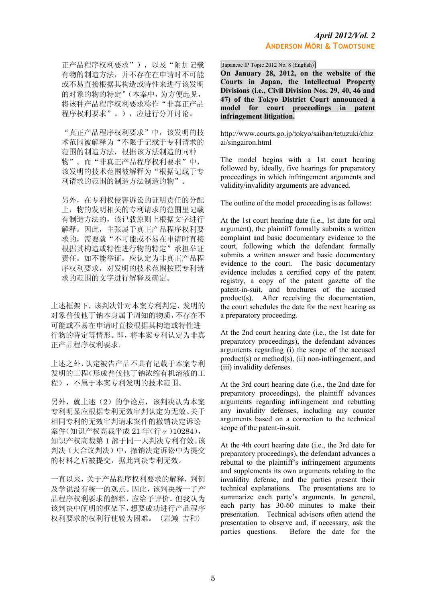正产品程序权利要求"),以及"附加记载 有物的制造方法,并不存在在申请时不可能 或不易直接根据其构造或特性来进行该发明 的对象的物的特定"(本案中,为方便起见, 将该种产品程序权利要求称作"非真正产品 程序权利要求"。),应进行分开讨论。

"真正产品程序权利要求"中,该发明的技 术范围被解释为"不限于记载于专利请求的 范围的制造方法,根据该方法制造的同种 物"。而"非真正产品程序权利要求"中, 该发明的技术范围被解释为"根据记载于专 利请求的范围的制造方法制造的物"。

另外,在专利权侵害诉讼的证明责任的分配 上,物的发明相关的专利请求的范围里记载 有制造方法的,该记载原则上根据文字进行 解释。因此,主张属于真正产品程序权利要 求的,需要就"不可能或不易在申请时直接 根据其构造或特性进行物的特定"承担举证 责任。如不能举证,应认定为非真正产品程 序权利要求,对发明的技术范围按照专利请 求的范围的文字进行解释及确定。

上述框架下,该判决针对本案专利判定,发明的 对象普伐他丁钠本身属于周知的物质,不存在不 可能或不易在申请时直接根据其构造或特性进 行物的特定等情形。即,将本案专利认定为非真 正产品程序权利要求.

上述之外,认定被告产品不具有记载于本案专利 发明的工程(形成普伐他丁钠浓缩有机溶液的工 程),不属于本案专利发明的技术范围。

另外,就上述(2)的争论点,该判决认为本案 专利明显应根据专利无效审判认定为无效。关于 相同专利的无效审判请求案件的撤销决定诉讼 案件(知识产权高裁平成 21 年(行ヶ)10284), 知识产权高裁第 1 部于同一天判决专利有效。该 判决(大合议判决)中,撤销决定诉讼中为提交 的材料之后被提交,据此判决专利无效。

一直以来,关于产品程序权利要求的解释,判例 及学说没有统一的观点。因此,该判决统一了产 品程序权利要求的解释,应给予评价。但我认为 该判决中阐明的框架下,想要成功进行产品程序 权利要求的权利行使较为困难。(岩濑 吉和)

[Japanese IP Topic 2012 No. 8 (English)]

**On January 28, 2012, on the website of the Courts in Japan, the Intellectual Property Divisions (i.e., Civil Division Nos. 29, 40, 46 and 47) of the Tokyo District Court announced a model for court proceedings in patent infringement litigation.** 

http://www.courts.go.jp/tokyo/saiban/tetuzuki/chiz ai/singairon.html

The model begins with a 1st court hearing followed by, ideally, five hearings for preparatory proceedings in which infringement arguments and validity/invalidity arguments are advanced.

The outline of the model proceeding is as follows:

At the 1st court hearing date (i.e., 1st date for oral argument), the plaintiff formally submits a written complaint and basic documentary evidence to the court, following which the defendant formally submits a written answer and basic documentary evidence to the court. The basic documentary evidence includes a certified copy of the patent registry, a copy of the patent gazette of the patent-in-suit, and brochures of the accused product(s). After receiving the documentation, the court schedules the date for the next hearing as a preparatory proceeding.

At the 2nd court hearing date (i.e., the 1st date for preparatory proceedings), the defendant advances arguments regarding (i) the scope of the accused product(s) or method(s), (ii) non-infringement, and (iii) invalidity defenses.

At the 3rd court hearing date (i.e., the 2nd date for preparatory proceedings), the plaintiff advances arguments regarding infringement and rebutting any invalidity defenses, including any counter arguments based on a correction to the technical scope of the patent-in-suit.

At the 4th court hearing date (i.e., the 3rd date for preparatory proceedings), the defendant advances a rebuttal to the plaintiff's infringement arguments and supplements its own arguments relating to the invalidity defense, and the parties present their technical explanations. The presentations are to summarize each party's arguments. In general, each party has 30-60 minutes to make their presentation. Technical advisors often attend the presentation to observe and, if necessary, ask the parties questions. Before the date for the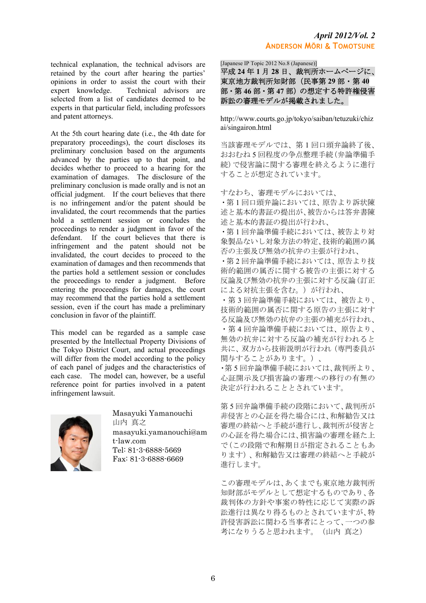technical explanation, the technical advisors are retained by the court after hearing the parties' opinions in order to assist the court with their expert knowledge. Technical advisors are selected from a list of candidates deemed to be experts in that particular field, including professors and patent attorneys.

At the 5th court hearing date (i.e., the 4th date for preparatory proceedings), the court discloses its preliminary conclusion based on the arguments advanced by the parties up to that point, and decides whether to proceed to a hearing for the examination of damages. The disclosure of the preliminary conclusion is made orally and is not an official judgment. If the court believes that there is no infringement and/or the patent should be invalidated, the court recommends that the parties hold a settlement session or concludes the proceedings to render a judgment in favor of the defendant. If the court believes that there is infringement and the patent should not be invalidated, the court decides to proceed to the examination of damages and then recommends that the parties hold a settlement session or concludes the proceedings to render a judgment. Before entering the proceedings for damages, the court may recommend that the parties hold a settlement session, even if the court has made a preliminary conclusion in favor of the plaintiff.

This model can be regarded as a sample case presented by the Intellectual Property Divisions of the Tokyo District Court, and actual proceedings will differ from the model according to the policy of each panel of judges and the characteristics of each case. The model can, however, be a useful reference point for parties involved in a patent infringement lawsuit.



Masayuki Yamanouchi 山内 真之 masayuki.yamanouchi@am t-law.com Tel: 81-3-6888-5669 Fax: 81-3-6888-6669

# *April 2012/Vol. 2*  **ANDERSON MŌRI** & **TOMOTSUNE**

[Japanese IP Topic 2012 No.8 (Japanese)]

平成 **24** 年 **1** 月 **28** 日、裁判所ホームページに、 東京地方裁判所知財部(民事第 **29** 部・第 **40** 部・第 **46** 部・第 **47** 部)の想定する特許権侵害 訴訟の審理モデルが掲載されました。

http://www.courts.go.jp/tokyo/saiban/tetuzuki/chiz ai/singairon.html

当該審理モデルでは、第 1 回口頭弁論終了後、 おおむね 5 回程度の争点整理手続(弁論準備手 続)で侵害論に関する審理を終えるように進行 することが想定されています。

すなわち、審理モデルにおいては、

・第 1 回口頭弁論においては、原告より訴状陳 述と基本的書証の提出が、被告からは答弁書陳 述と基本的書証の提出が行われ、

・第 1 回弁論準備手続においては、被告より対 象製品ないし対象方法の特定、技術的範囲の属 否の主張及び無効の抗弁の主張が行われ、

・第 2 回弁論準備手続においては、原告より技 術的範囲の属否に関する被告の主張に対する 反論及び無効の抗弁の主張に対する反論(訂正 による対抗主張を含む。)が行われ、

・第 3 回弁論準備手続においては、被告より、 技術的範囲の属否に関する原告の主張に対す る反論及び無効の抗弁の主張の補充が行われ、 ・第 4 回弁論準備手続においては、原告より、 無効の抗弁に対する反論の補充が行われると 共に、双方から技術説明が行われ(専門委員が 関与することがあります。)、

・第 5 回弁論準備手続においては、裁判所より、 心証開示及び損害論の審理への移行の有無の 決定が行われることとされています。

第 5 回弁論準備手続の段階において、裁判所が 非侵害との心証を得た場合には、和解勧告又は 審理の終結へと手続が進行し、裁判所が侵害と の心証を得た場合には、損害論の審理を経た上 で(この段階で和解期日が指定されることもあ ります)、和解勧告又は審理の終結へと手続が 進行します。

この審理モデルは、あくまでも東京地方裁判所 知財部がモデルとして想定するものであり、各 裁判体の方針や事案の特性に応じて実際の訴 訟進行は異なり得るものとされていますが、特 許侵害訴訟に関わる当事者にとって、一つの参 考になりうると思われます。(山内 真之)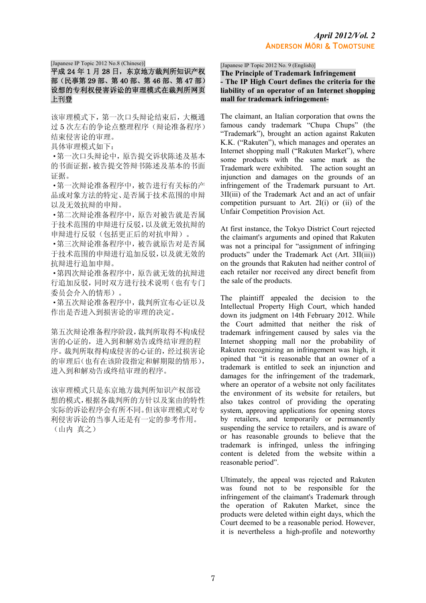#### [Japanese IP Topic 2012 No.8 (Chinese)]

# 平成 24年1月28日,东京地方裁判所知识产权 部(民事第 29 部、第 40 部、第 46 部、第 47 部) 设想的专利权侵害诉讼的审理模式在裁判所网页 上刊登

该审理模式下,第一次口头辩论结束后,大概通 过 5 次左右的争论点整理程序(辩论准备程序) 结束侵害论的审理。

具体审理模式如下:

·第一次口头辩论中,原告提交诉状陈述及基本 的书面证据,被告提交答辩书陈述及基本的书面 证据。

·第一次辩论准备程序中,被告进行有关标的产 品或对象方法的特定、是否属于技术范围的申辩 以及无效抗辩的申辩。

·第二次辩论准备程序中,原告对被告就是否属 于技术范围的申辩进行反驳,以及就无效抗辩的 申辩进行反驳(包括更正后的对抗申辩)。

·第三次辩论准备程序中,被告就原告对是否属 于技术范围的申辩进行追加反驳,以及就无效的 抗辩进行追加申辩。

·第四次辩论准备程序中,原告就无效的抗辩进 行追加反驳,同时双方进行技术说明(也有专门 委员会介入的情形)。

·第五次辩论准备程序中,裁判所宣布心证以及 作出是否进入到损害论的审理的决定。

第五次辩论准备程序阶段,裁判所取得不构成侵 害的心证的,进入到和解劝告或终结审理的程 序。裁判所取得构成侵害的心证的,经过损害论 的审理后(也有在该阶段指定和解期限的情形), 进入到和解劝告或终结审理的程序。

该审理模式只是东京地方裁判所知识产权部设 想的模式,根据各裁判所的方针以及案由的特性 实际的诉讼程序会有所不同。但该审理模式对专 利侵害诉讼的当事人还是有一定的参考作用。 (山内 真之)

[Japanese IP Topic 2012 No. 9 (English)]

**The Principle of Trademark Infringement - The IP High Court defines the criteria for the liability of an operator of an Internet shopping mall for trademark infringement-**

The claimant, an Italian corporation that owns the famous candy trademark "Chupa Chups" (the "Trademark"), brought an action against Rakuten K.K. ("Rakuten"), which manages and operates an Internet shopping mall ("Rakuten Market"), where some products with the same mark as the Trademark were exhibited. The action sought an injunction and damages on the grounds of an infringement of the Trademark pursuant to Art. 3II(iii) of the Trademark Act and an act of unfair competition pursuant to Art. 2I(i) or (ii) of the Unfair Competition Provision Act.

At first instance, the Tokyo District Court rejected the claimant's arguments and opined that Rakuten was not a principal for "assignment of infringing products" under the Trademark Act (Art. 3II(iii)) on the grounds that Rakuten had neither control of each retailer nor received any direct benefit from the sale of the products.

The plaintiff appealed the decision to the Intellectual Property High Court, which handed down its judgment on 14th February 2012. While the Court admitted that neither the risk of trademark infringement caused by sales via the Internet shopping mall nor the probability of Rakuten recognizing an infringement was high, it opined that "it is reasonable that an owner of a trademark is entitled to seek an injunction and damages for the infringement of the trademark, where an operator of a website not only facilitates the environment of its website for retailers, but also takes control of providing the operating system, approving applications for opening stores by retailers, and temporarily or permanently suspending the service to retailers, and is aware of or has reasonable grounds to believe that the trademark is infringed, unless the infringing content is deleted from the website within a reasonable period".

Ultimately, the appeal was rejected and Rakuten was found not to be responsible for the infringement of the claimant's Trademark through the operation of Rakuten Market, since the products were deleted within eight days, which the Court deemed to be a reasonable period. However, it is nevertheless a high-profile and noteworthy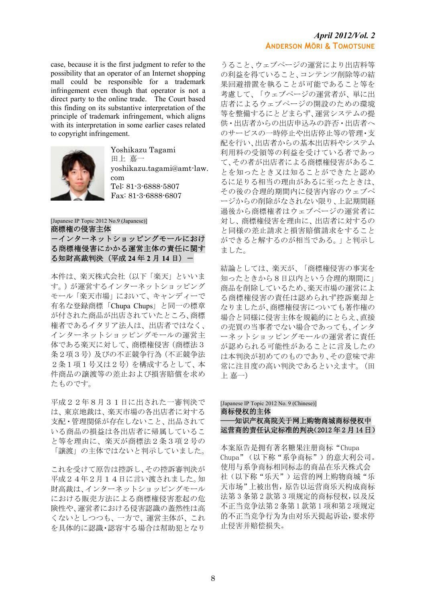case, because it is the first judgment to refer to the possibility that an operator of an Internet shopping mall could be responsible for a trademark infringement even though that operator is not a direct party to the online trade. The Court based this finding on its substantive interpretation of the principle of trademark infringement, which aligns with its interpretation in some earlier cases related to copyright infringement.



Yoshikazu Tagami 田上 嘉一 yoshikazu.tagami@amt-law. com Tel: 81-3-6888-5807 Fax: 81-3-6888-6807

[Japanese IP Topic 2012 No.9 (Japanese)] 商標権の侵害主体 -インターネットショッピングモールにおけ る商標権侵害にかかる運営主体の責任に関す る知財高裁判決(平成 **24** 年 **2** 月 **14** 日)-

本件は、楽天株式会社(以下「楽天」といいま す。)が運営するインターネットショッピング モール「楽天市場」において、キャンディーで 有名な登録商標「Chupa Chups」と同一の標章 が付された商品が出店されていたところ、商標 権者であるイタリア法人は、出店者ではなく、 インターネットショッピングモールの運営主 体である楽天に対して、商標権侵害(商標法3 条2項3号)及びの不正競争行為(不正競争法 2条1項1号又は2号)を構成するとして、本 件商品の譲渡等の差止および損害賠償を求め たものです。

平成22年8月31日に出された一審判決で は、東京地裁は、楽天市場の各出店者に対する 支配・管理関係が存在しないこと、出品されて いる商品の損益は各出店者に帰属しているこ と等を理由に、楽天が商標法2条3項2号の 「譲渡」の主体ではないと判示していました。

これを受けて原告は控訴し、その控訴審判決が 平成24年2月14日に言い渡されました。知 財高裁は、インターネットショッピングモール における販売方法による商標権侵害惹起の危 険性や、運営者における侵害認識の蓋然性は高 くないとしつつも、一方で、運営主体が、これ を具体的に認識・認容する場合は幇助犯となり

うること、ウェブページの運営により出店料等 の利益を得ていること、コンテンツ削除等の結 果回避措置を執ることが可能であること等を 考慮して、「ウェブページの運営者が、単に出 店者によるウェブページの開設のための環境 等を整備するにとどまらず、運営システムの提 供・出店者からの出店申込みの許否・出店者へ のサービスの一時停止や出店停止等の管理・支 配を行い、出店者からの基本出店料やシステム 利用料の受領等の利益を受けている者であっ て、その者が出店者による商標権侵害があるこ とを知ったとき又は知ることができたと認め るに足りる相当の理由があるに至ったときは、 その後の合理的期間内に侵害内容のウェブペ ージからの削除がなされない限り、上記期間経 過後から商標権者はウェブページの運営者に 対し、商標権侵害を理由に、出店者に対するの と同様の差止請求と損害賠償請求をすること ができると解するのが相当である。」と判示し ました。

結論としては、楽天が、「商標権侵害の事実を 知ったときから8日以内という合理的期間に」 商品を削除しているため、楽天市場の運営によ る商標権侵害の責任は認められず控訴棄却と なりましたが、商標権侵害についても著作権の 場合と同様に侵害主体を規範的にとらえ、直接 の売買の当事者でない場合であっても、インタ ーネットショッピングモールの運営者に責任 が認められる可能性があることに言及したの は本判決が初めてのものであり、その意味で非 常に注目度の高い判決であるといえます。(田 上 嘉一)

# [Japanese IP Topic 2012 No. 9 (Chinese)] 商标侵权的主体 ——知识产权高院关于网上购物商城商标侵权中 运营商的责任认定标准的判决(2012 年 2 月 14 日)

本案原告是拥有著名糖果注册商标"Chupa Chupa"(以下称"系争商标")的意大利公司。 使用与系争商标相同标志的商品在乐天株式会 社(以下称"乐天")运营的网上购物商城"乐 天市场"上被出售,原告以运营商乐天构成商标 法第 3 条第 2 款第 3 项规定的商标侵权,以及反 不正当竞争法第 2 条第 1 款第 1 项和第 2 项规定 的不正当竞争行为为由对乐天提起诉讼,要求停 止侵害并赔偿损失。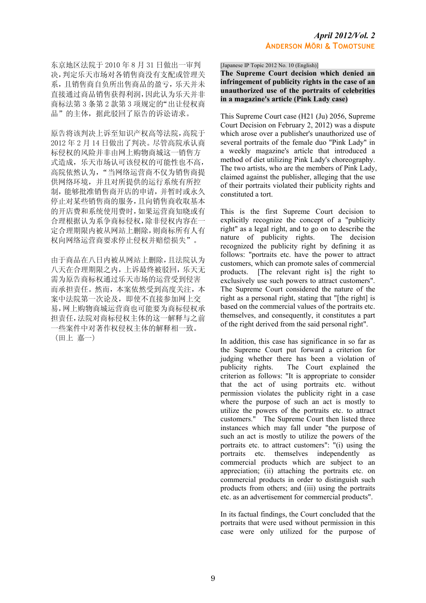东京地区法院于 2010 年 8 月 31 日做出一审判 决,判定乐天市场对各销售商没有支配或管理关 系,且销售商自负所出售商品的盈亏,乐天并未 直接通过商品销售获得利润,因此认为乐天并非 商标法第 3 条第 2 款第 3 项规定的"出让侵权商 品"的主体,据此驳回了原告的诉讼请求。

原告将该判决上诉至知识产权高等法院,高院于 2012 年 2 月 14 日做出了判决。尽管高院承认商 标侵权的风险并非由网上购物商城这一销售方 式造成,乐天市场认可该侵权的可能性也不高, 高院依然认为, "当网络运营商不仅为销售商提 供网络环境,并且对所提供的运行系统有所控 制,能够批准销售商开店的申请,并暂时或永久 停止对某些销售商的服务,且向销售商收取基本 的开店费和系统使用费时,如果运营商知晓或有 合理根据认为系争商标侵权,除非侵权内容在一 定合理期限内被从网站上删除,则商标所有人有 权向网络运营商要求停止侵权并赔偿损失"。

由于商品在八日内被从网站上删除,且法院认为 八天在合理期限之内,上诉最终被驳回,乐天无 需为原告商标权通过乐天市场的运营受到侵害 而承担责任。然而,本案依然受到高度关注,本 案中法院第一次论及,即使不直接参加网上交 易,网上购物商城运营商也可能要为商标侵权承 担责任,法院对商标侵权主体的这一解释与之前 一些案件中对著作权侵权主体的解释相一致。 (田上 嘉一)

[Japanese IP Topic 2012 No. 10 (English)]

**The Supreme Court decision which denied an infringement of publicity rights in the case of an unauthorized use of the portraits of celebrities in a magazine's article (Pink Lady case)** 

This Supreme Court case (H21 (Ju) 2056, Supreme Court Decision on February 2, 2012) was a dispute which arose over a publisher's unauthorized use of several portraits of the female duo "Pink Lady" in a weekly magazine's article that introduced a method of diet utilizing Pink Lady's choreography. The two artists, who are the members of Pink Lady, claimed against the publisher, alleging that the use of their portraits violated their publicity rights and constituted a tort.

This is the first Supreme Court decision to explicitly recognize the concept of a "publicity right" as a legal right, and to go on to describe the nature of publicity rights. The decision nature of publicity rights. recognized the publicity right by defining it as follows: "portraits etc. have the power to attract customers, which can promote sales of commercial products. [The relevant right is] the right to exclusively use such powers to attract customers". The Supreme Court considered the nature of the right as a personal right, stating that "[the right] is based on the commercial values of the portraits etc. themselves, and consequently, it constitutes a part of the right derived from the said personal right".

In addition, this case has significance in so far as the Supreme Court put forward a criterion for judging whether there has been a violation of<br>publicity rights. The Court explained the The Court explained the criterion as follows: "It is appropriate to consider that the act of using portraits etc. without permission violates the publicity right in a case where the purpose of such an act is mostly to utilize the powers of the portraits etc. to attract customers." The Supreme Court then listed three instances which may fall under "the purpose of such an act is mostly to utilize the powers of the portraits etc. to attract customers": "(i) using the portraits etc. themselves independently as commercial products which are subject to an appreciation; (ii) attaching the portraits etc. on commercial products in order to distinguish such products from others; and (iii) using the portraits etc. as an advertisement for commercial products".

In its factual findings, the Court concluded that the portraits that were used without permission in this case were only utilized for the purpose of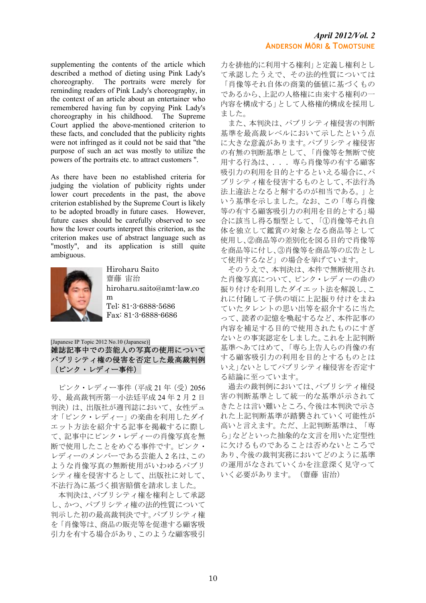supplementing the contents of the article which described a method of dieting using Pink Lady's choreography. The portraits were merely for reminding readers of Pink Lady's choreography, in the context of an article about an entertainer who remembered having fun by copying Pink Lady's choreography in his childhood. The Supreme Court applied the above-mentioned criterion to these facts, and concluded that the publicity rights were not infringed as it could not be said that "the purpose of such an act was mostly to utilize the powers of the portraits etc. to attract customers ".

As there have been no established criteria for judging the violation of publicity rights under lower court precedents in the past, the above criterion established by the Supreme Court is likely to be adopted broadly in future cases. However, future cases should be carefully observed to see how the lower courts interpret this criterion, as the criterion makes use of abstract language such as "mostly", and its application is still quite ambiguous.



Hiroharu Saito 齋藤 宙治 hiroharu.saito@amt-law.co m Tel: 81-3-6888-5686 Fax: 81-3-6888-6686

[Japanese IP Topic 2012 No.10 (Japanese)]

雑誌記事中での芸能人の写真の使用について パブリシティ権の侵害を否定した最高裁判例 (ピンク・レディー事件)

 ピンク・レディー事件(平成 21 年(受)2056 号、最高裁判所第一小法廷平成 24 年 2 月 2 日 判決)は、出版社が週刊誌において、女性デュ オ「ピンク・レディー」の楽曲を利用したダイ エット方法を紹介する記事を掲載するに際し て、記事中にピンク・レディーの肖像写真を無 断で使用したことをめぐる事件です。ピンク・ レディーのメンバーである芸能人 2 名は、この ような肖像写真の無断使用がいわゆるパブリ シティ権を侵害するとして、出版社に対して、 不法行為に基づく損害賠償を請求しました。

 本判決は、パブリシティ権を権利として承認 し、かつ、パブリシティ権の法的性質について 判示した初の最高裁判決です。パブリシティ権 を「肖像等は、商品の販売等を促進する顧客吸 引力を有する場合があり、このような顧客吸引 力を排他的に利用する権利」と定義し権利とし て承認したうえで、その法的性質については 「肖像等それ自体の商業的価値に基づくもの であるから、上記の人格権に由来する権利の一 内容を構成する」として人格権的構成を採用し ました。

 また、本判決は、パブリシティ権侵害の判断 基準を最高裁レベルにおいて示したという点 に大きな意義があります。パブリシティ権侵害 の有無の判断基準として、「肖像等を無断で使 用する行為は、...専ら肖像等の有する顧客 吸引力の利用を目的とするといえる場合に、パ ブリシティ権を侵害するものとして、不法行為 法上違法となると解するのが相当である。」と いう基準を示しました。なお、この「専ら肖像 等の有する顧客吸引力の利用を目的とする」場 合に該当し得る類型として、「①肖像等それ自 体を独立して鑑賞の対象となる商品等として 使用し、②商品等の差別化を図る目的で肖像等 を商品等に付し、③肖像等を商品等の広告とし て使用するなど」の場合を挙げています。

 そのうえで、本判決は、本件で無断使用され た肖像写真について、ピンク・レディーの曲の 振り付けを利用したダイエット法を解説し、こ れに付随して子供の頃に上記振り付けをまね ていたタレントの思い出等を紹介するに当た って、読者の記憶を喚起するなど、本件記事の 内容を補足する目的で使用されたものにすぎ ないとの事実認定をしました。これを上記判断 基準へあてはめて、「専ら上告人らの肖像の有 する顧客吸引力の利用を目的とするものとは いえ」ないとしてパブリシティ権侵害を否定す る結論に至っています。

 過去の裁判例においては、パブリシティ権侵 害の判断基準として統一的な基準が示されて きたとは言い難いところ、今後は本判決で示さ れた上記判断基準が踏襲されていく可能性が 高いと言えます。ただ、上記判断基準は、「専 ら」などといった抽象的な文言を用いた定型性 に欠けるものであることは否めないところで あり、今後の裁判実務においてどのように基準 の運用がなされていくかを注意深く見守って いく必要があります。(齋藤 宙治)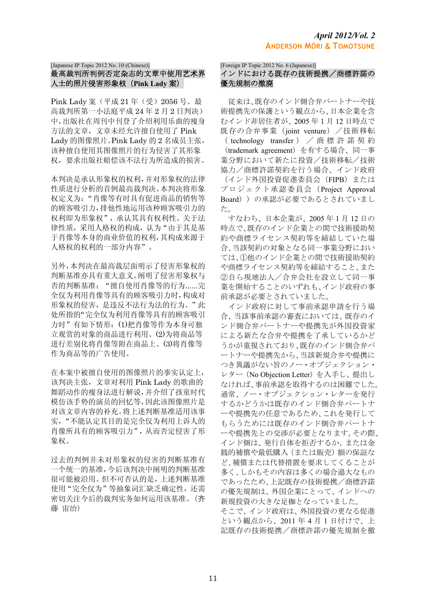## [Japanese IP Topic 2012 No. 10 (Chinese)] 最高裁判所判例否定杂志的文章中使用艺术界 人士的照片侵害形象权(**Pink Lady** 案)

Pink Lady 案(平成 21 年(受)2056 号、最 高裁判所第一小法庭平成 24 年 2 月 2 日判决) 中,出版社在周刊中刊登了介绍利用乐曲的瘦身 方法的文章,文章未经允许擅自使用了 Pink Lady 的图像照片。Pink Lady 的 2 名成员主张, 该种擅自使用其图像照片的行为侵害了其形象 权,要求出版社赔偿该不法行为所造成的损害。

本判决是承认形象权的权利,并对形象权的法律 性质进行分析的首例最高裁判决。本判决将形象 权定义为:"肖像等有时具有促进商品的销售等 的顾客吸引力,排他性地运用该种顾客吸引力的 权利即为形象权",承认其具有权利性。关于法 律性质,采用人格权的构成,认为"由于其是基 于肖像等本身的商业价值的权利,其构成来源于 人格权的权利的一部分内容"。

另外,本判决在最高裁层面明示了侵害形象权的 判断基准亦具有重大意义。阐明了侵害形象权与 否的判断基准:"擅自使用肖像等的行为......完 全仅为利用肖像等具有的顾客吸引力时,构成对 形象权的侵害,是违反不法行为法的行为。"此 处所指的"完全仅为利用肖像等具有的顾客吸引 力时"有如下情形:(1)把肖像等作为本身可独 立观赏的对象的商品进行利用、(2)为将商品等 进行差别化将肖像等附在商品上、(3)将肖像等 作为商品等的广告使用。

在本案中被擅自使用的图像照片的事实认定上, 该判决主张,文章对利用 Pink Lady 的歌曲的 舞蹈动作的瘦身法进行解说,并介绍了孩童时代 模仿该手势的演员的回忆等,因此该图像照片是 对该文章内容的补充。将上述判断基准适用该事 实,"不能认定其目的是完全仅为利用上诉人的 肖像所具有的顾客吸引力",从而否定侵害了形 象权。

过去的判例并未对形象权的侵害的判断基准有 一个统一的基准,今后该判决中阐明的判断基准 很可能被沿用。但不可否认的是,上述判断基准 使用"完全仅为"等抽象词汇缺乏确定性,还需 密切关注今后的裁判实务如何运用该基准。(齐 藤 宙治)

[Foreign IP Topic 2012 No. 6 (Japanese)]

## インドにおける既存の技術提携/商標許諾の 優先規制の撤廃

 従来は、既存のインド側合弁パートナーや技 術提携先の保護という観点から、日本企業を含 むインド非居住者が、2005 年1月 12 日時点で 既存の合弁事業 (joint venture) /技術移転 (technology transfer) / 商標許諾契約 (trademark agreement)を有する場合、同一事 業分野において新たに投資/技術移転/技術 協力/商標許諾契約を行う場合、インド政府 (インド外国投資促進委員会(FIPB)または プロジェクト承認委員会(Project Approval Board))の承認が必要であるとされていまし た。

 すなわち、日本企業が、2005 年 1 月 12 日の 時点で、既存のインド企業との間で技術援助契 約や商標ライセンス契約等を締結していた場 合、当該契約の対象となる同一事業分野におい ては、①他のインド企業との間で技術援助契約 や商標ライセンス契約等を締結すること、また ②自ら現地法人/合弁会社を設立して同一事 業を開始することのいずれも、インド政府の事 前承認が必要とされていました。

 インド政府に対して事前承認申請を行う場 合、当該事前承認の審査においては、既存のイ ンド側合弁パートナーや提携先が外国投資家 による新たな合弁や提携を了承しているかど うかが重視されており、既存のインド側合弁パ ートナーや提携先から、当該新規合弁や提携に つき異議がない旨のノー・オブジェクション・ レター(No Objection Letter)を入手し、提出し なければ、事前承認を取得するのは困難でした。 通常、ノー・オブジェクション・レターを発行 するかどうかは既存のインド側合弁パートナ ーや提携先の任意であるため、これを発行して もらうためには既存のインド側合弁パートナ ーや提携先との交渉が必要となります。その際、 インド側は、発行自体を拒否するか、または金 銭的補償や最低購入(または販売)額の保証な ど、補償または代替措置を要求してくることが 多く、しかもその内容は多くの場合過大なもの であったため、上記既存の技術提携/商標許諾 の優先規制は、外国企業にとって、インドへの 新規投資の大きな足枷となっていました。 そこで、インド政府は、外国投資の更なる促進 という観点から、2011 年 4 月 1 日付けで、上 記既存の技術提携/商標許諾の優先規制を撤